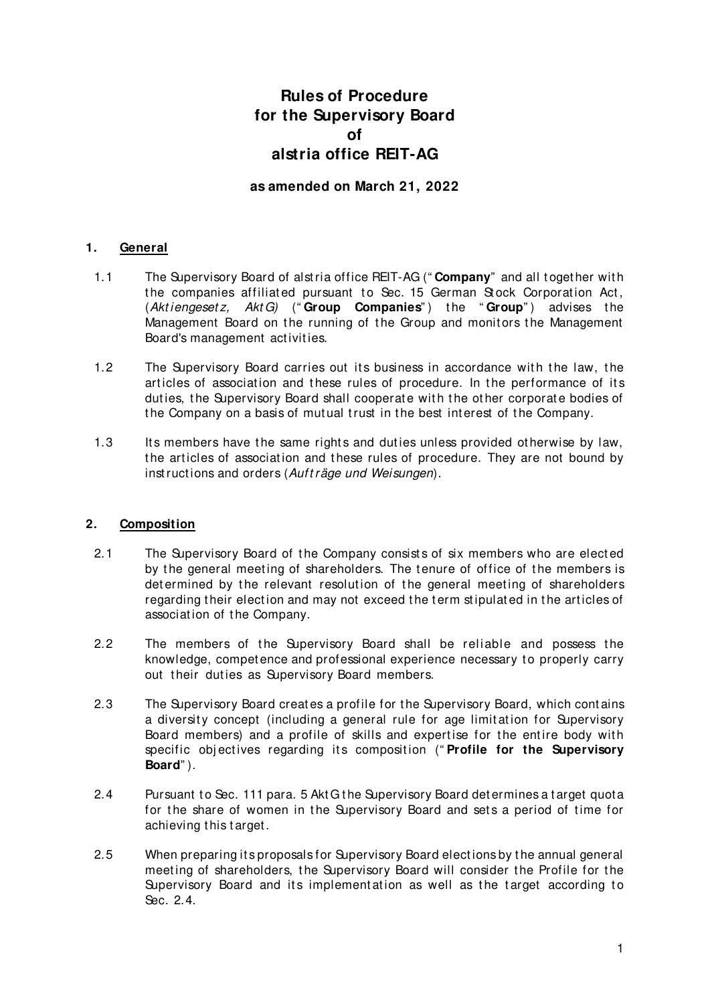# **Rules of Procedure for the Supervisory Board of alstria office REIT-AG**

**as amended on March 21, 2022**

### **1. General**

- 1.1 The Supervisory Board of alst ria office REIT-AG (" **Company**" and all t oget her wit h the companies affiliated pursuant to Sec. 15 German Stock Corporation Act, (Akt iengeset z, Akt G) (" **Group Companies**" ) t he " **Group**" ) advises t he Management Board on the running of the Group and monitors the Management Board's management act ivit ies.
- 1.2 The Supervisory Board carries out its business in accordance with the law, the articles of association and these rules of procedure. In the performance of its duties, the Supervisory Board shall cooperate with the other corporate bodies of the Company on a basis of mutual trust in the best interest of the Company.
- 1.3 Its members have the same rights and duties unless provided otherwise by law, the articles of association and these rules of procedure. They are not bound by inst ructions and orders (Aufträge und Weisungen).

#### **2. Composition**

- 2.1 The Supervisory Board of the Company consists of six members who are elected by the general meeting of shareholders. The tenure of office of the members is determined by the relevant resolution of the general meeting of shareholders regarding their election and may not exceed the term stipulated in the articles of association of the Company.
- 2.2 The members of the Supervisory Board shall be reliable and possess the knowledge, compet ence and professional experience necessary t o properly carry out their duties as Supervisory Board members.
- 2.3 The Supervisory Board creat es a profile for t he Supervisory Board, which cont ains a diversity concept (including a general rule for age limitation for Supervisory Board members) and a profile of skills and expertise for the entire body with specific objectives regarding its composition ("Profile for the Supervisory **Board**" ).
- <span id="page-0-0"></span>2.4 Pursuant to Sec. 111 para. 5 Akt G the Supervisory Board determines a target quota for the share of women in the Supervisory Board and sets a period of time for achieving this target.
- 2.5 When preparing it s proposals for Supervisory Board elect ions by t he annual general meeting of shareholders, the Supervisory Board will consider the Profile for the Supervisory Board and its implementation as well as the target according to Sec. [2.4.](#page-0-0)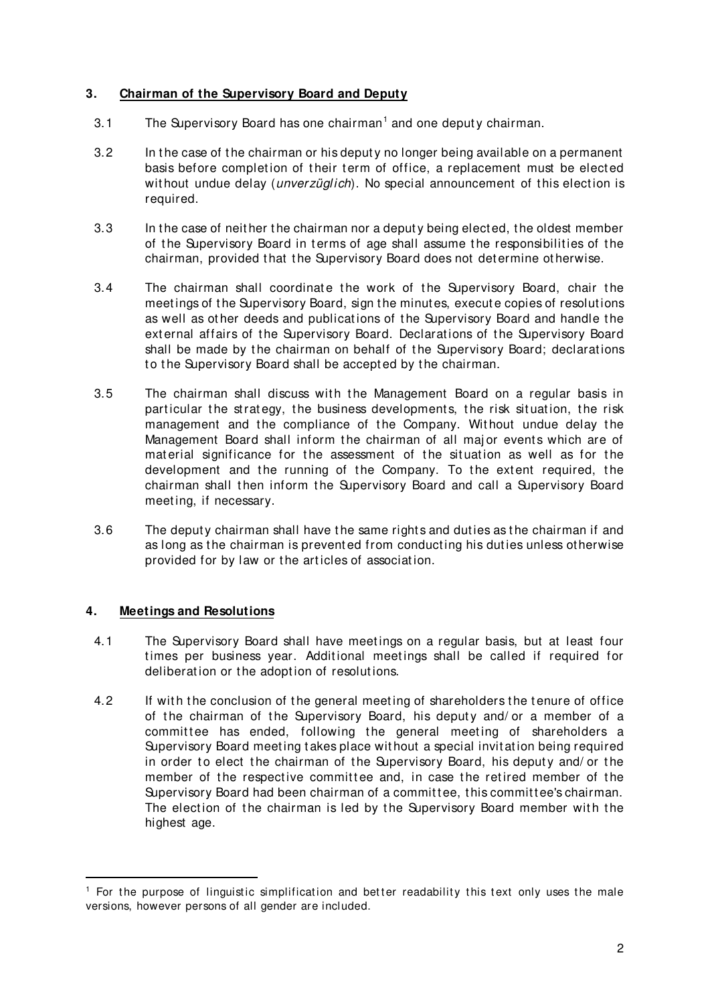#### **3. Chairman of the Supervisory Board and Deputy**

- 3.[1](#page-1-0) The Supervisory Board has one chairman<sup>1</sup> and one deputy chairman.
- 3.2 In t he case of t he chairman or his deput y no longer being available on a permanent basis before completion of their term of office, a replacement must be elected without undue delay (*unverzüglich*). No special announcement of this election is required.
- 3.3 In the case of neither the chairman nor a deputy being elected, the oldest member of the Supervisory Board in terms of age shall assume the responsibilities of the chairman, provided t hat t he Supervisory Board does not det ermine ot herwise.
- 3.4 The chairman shall coordinate the work of the Supervisory Board, chair the meetings of the Supervisory Board, sign the minutes, execute copies of resolutions as well as other deeds and publications of the Supervisory Board and handle the external affairs of the Supervisory Board. Declarations of the Supervisory Board shall be made by the chairman on behalf of the Supervisory Board; declarations to the Supervisory Board shall be accepted by the chairman.
- 3.5 The chairman shall discuss with the Management Board on a regular basis in particular the strategy, the business developments, the risk situation, the risk management and the compliance of the Company. Without undue delay the Management Board shall inform the chairman of all major events which are of material significance for the assessment of the situation as well as for the development and the running of the Company. To the extent required, the chairman shall then inform the Supervisory Board and call a Supervisory Board meet ing, if necessary.
- 3.6 The deputy chairman shall have the same rights and duties as the chairman if and as long as the chairman is prevented from conducting his duties unless otherwise provided for by law or the articles of association.

#### **4. Meetings and Resolutions**

- 4.1 The Supervisory Board shall have meet ings on a regular basis, but at least four times per business year. Additional meetings shall be called if required for deliberation or the adoption of resolutions.
- 4.2 If with the conclusion of the general meeting of shareholders the tenure of office of the chairman of the Supervisory Board, his deputy and/ or a member of a committee has ended, following the general meeting of shareholders a Supervisory Board meeting takes place without a special invitation being required in order to elect the chairman of the Supervisory Board, his deputy and/ or the member of the respective committee and, in case the retired member of the Supervisory Board had been chairman of a committee, this committee's chairman. The election of the chairman is led by the Supervisory Board member with the highest age.

<span id="page-1-0"></span> $<sup>1</sup>$  For the purpose of linguistic simplification and better readability this text only uses the male</sup> versions, however persons of all gender are included.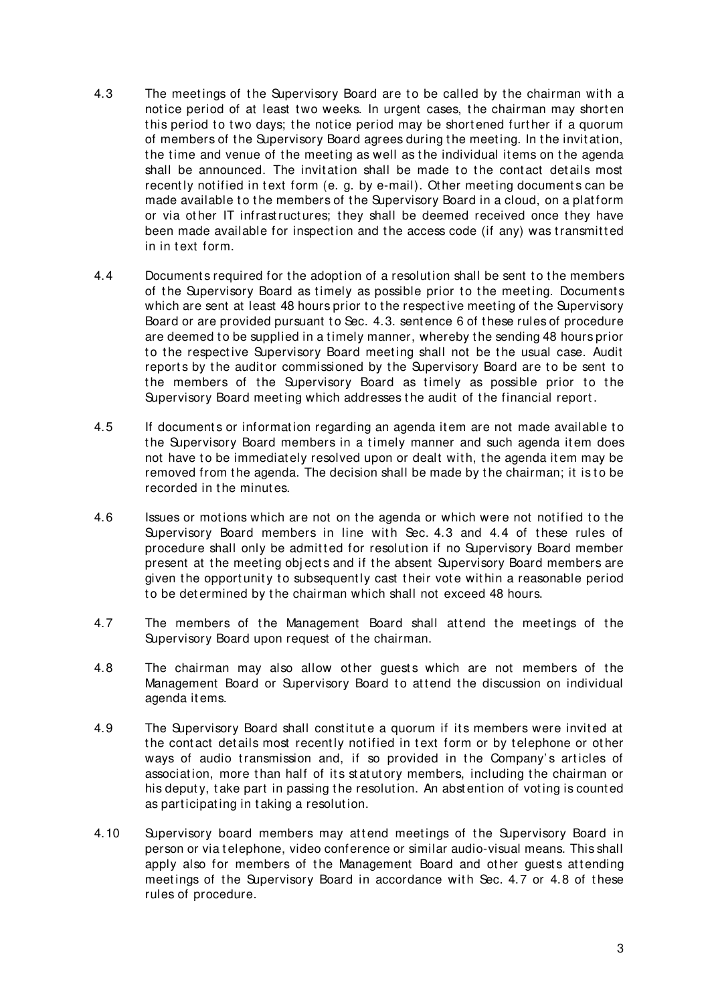- 4.3 The meetings of the Supervisory Board are to be called by the chairman with a notice period of at least two weeks. In urgent cases, the chairman may shorten this period to two days; the notice period may be shortened further if a quorum of members of the Supervisory Board agrees during the meeting. In the invitation, the time and venue of the meeting as well as the individual items on the agenda shall be announced. The invitation shall be made to the contact details most recently notified in text form (e. g. by e-mail). Other meeting documents can be made available to the members of the Supervisory Board in a cloud, on a platform or via ot her IT infrast ruct ures; t hey shall be deemed received once t hey have been made available for inspection and the access code (if any) was transmitted in in text form.
- 4.4 Documents required for the adoption of a resolution shall be sent to the members of the Supervisory Board as timely as possible prior to the meeting. Documents which are sent at least 48 hours prior to the respective meeting of the Supervisory Board or are provided pursuant to Sec. 4.3. sentence 6 of these rules of procedure are deemed to be supplied in a timely manner, whereby the sending 48 hours prior to the respective Supervisory Board meeting shall not be the usual case. Audit reports by the auditor commissioned by the Supervisory Board are to be sent to the members of the Supervisory Board as timely as possible prior to the Supervisory Board meeting which addresses the audit of the financial report.
- 4.5 If documents or information regarding an agenda item are not made available to t he Supervisory Board members in a t imely manner and such agenda it em does not have to be immediately resolved upon or dealt with, the agenda item may be removed from the agenda. The decision shall be made by the chairman; it is to be recorded in the minutes.
- 4.6 Issues or motions which are not on the agenda or which were not notified to the Supervisory Board members in line with Sec. 4.3 and 4.4 of these rules of procedure shall only be admitted for resolution if no Supervisory Board member present at the meeting objects and if the absent Supervisory Board members are given the opportunity to subsequently cast their vote within a reasonable period to be determined by the chairman which shall not exceed 48 hours.
- 4.7 The members of the Management Board shall attend the meetings of the Supervisory Board upon request of the chairman.
- 4.8 The chairman may also allow other guests which are not members of the Management Board or Supervisory Board to attend the discussion on individual agenda it ems.
- 4.9 The Supervisory Board shall constitute a quorum if its members were invited at the contact details most recently notified in text form or by telephone or other ways of audio transmission and, if so provided in the Company's articles of association, more than half of its statutory members, including the chairman or his deputy, take part in passing the resolution. An abstention of voting is counted as participating in taking a resolution.
- 4.10 Supervisory board members may attend meetings of the Supervisory Board in person or via t elephone, video conference or similar audio-visual means. This shall apply also for members of the Management Board and other quests attending meetings of the Supervisory Board in accordance with Sec. 4.7 or 4.8 of these rules of procedure.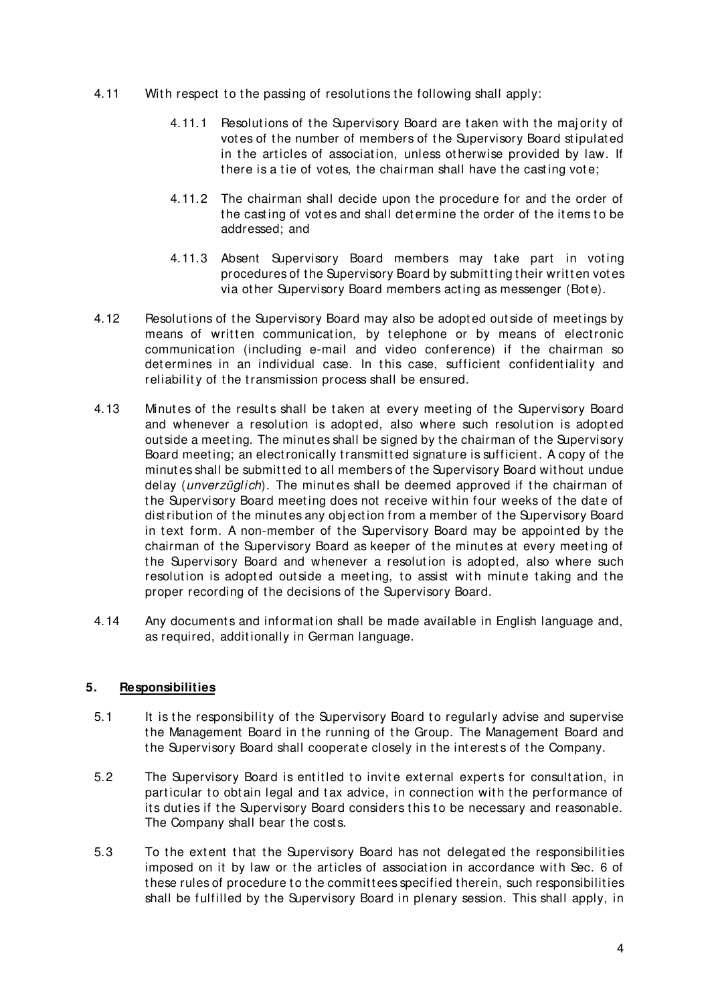- 4.11 With respect to the passing of resolutions the following shall apply:
	- 4.11.1 Resolutions of the Supervisory Board are taken with the majority of vot es of t he number of members of t he Supervisory Board st ipulat ed in the articles of association, unless otherwise provided by law. If there is a tie of votes, the chairman shall have the casting vote;
	- 4.11.2 The chairman shall decide upon the procedure for and the order of the casting of votes and shall determine the order of the items to be addressed; and
	- 4.11.3 Absent Supervisory Board members may take part in voting procedures of the Supervisory Board by submitting their written votes via ot her Supervisory Board members act ing as messenger (Bot e).
- 4.12 Resolutions of the Supervisory Board may also be adopted outside of meetings by means of written communication, by telephone or by means of electronic communication (including e-mail and video conference) if the chairman so det ermines in an individual case. In this case, sufficient confidentiality and reliability of the transmission process shall be ensured.
- 4.13 Minutes of the results shall be taken at every meeting of the Supervisory Board and whenever a resolution is adopted, also where such resolution is adopted out side a meet ing. The minut es shall be signed by t he chairman of t he Supervisory Board meeting; an electronically transmitted signature is sufficient. A copy of the minutes shall be submitted to all members of the Supervisory Board without undue delay (*unverzüglich*). The minutes shall be deemed approved if the chairman of the Supervisory Board meeting does not receive within four weeks of the date of distribution of the minutes any objection from a member of the Supervisory Board in text form. A non-member of the Supervisory Board may be appointed by the chairman of the Supervisory Board as keeper of the minutes at every meeting of the Supervisory Board and whenever a resolution is adopted, also where such resolution is adopted outside a meeting, to assist with minute taking and the proper recording of the decisions of the Supervisory Board.
- 4.14 Any documents and information shall be made available in English language and, as required, additionally in German language.

#### **5. Responsibilities**

- 5.1 It is the responsibility of the Supervisory Board to regularly advise and supervise the Management Board in the running of the Group. The Management Board and the Supervisory Board shall cooperate closely in the interests of the Company.
- 5.2 The Supervisory Board is entitled to invite external experts for consultation, in particular to obtain legal and tax advice, in connection with the performance of its duties if the Supervisory Board considers this to be necessary and reasonable. The Company shall bear the costs.
- 5.3 To the extent that the Supervisory Board has not delegated the responsibilities imposed on it by law or the articles of association in accordance with Sec. 6 of these rules of procedure to the committees specified therein, such responsibilities shall be fulfilled by t he Supervisory Board in plenary session. This shall apply, in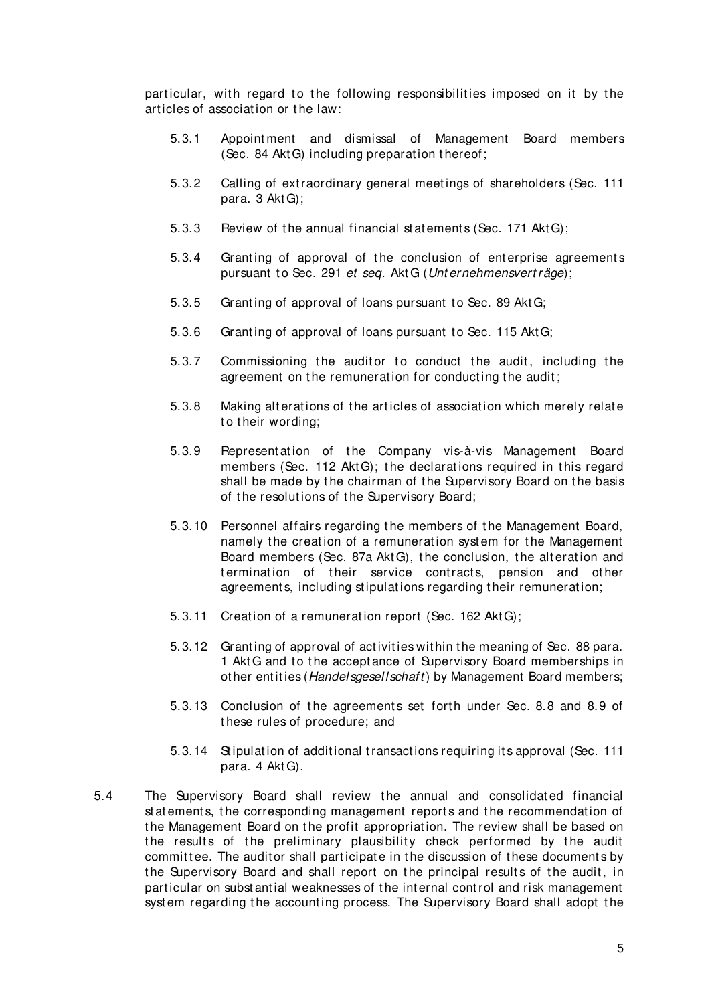particular, with regard to the following responsibilities imposed on it by the art icles of associat ion or t he law:

- 5.3.1 Appoint ment and dismissal of Management Board members (Sec. 84 AktG) including preparation thereof;
- 5.3.2 Calling of extraordinary general meetings of shareholders (Sec. 111 para. 3 Akt G);
- 5.3.3 Review of the annual financial statements (Sec. 171 AktG);
- 5.3.4 Granting of approval of the conclusion of enterprise agreements pursuant to Sec. 291 et seq. Akt G (Unternehmensvert räge);
- 5.3.5 Granting of approval of loans pursuant to Sec. 89 AktG;
- 5.3.6 Granting of approval of loans pursuant to Sec. 115 AktG;
- 5.3.7 Commissioning the auditor to conduct the audit, including the agreement on the remuneration for conducting the audit;
- 5.3.8 Making alterations of the articles of association which merely relate to their wording:
- 5.3.9 Represent at ion of t he Company vis-à-vis Management Board members (Sec. 112 AktG); the declarations required in this regard shall be made by the chairman of the Supervisory Board on the basis of the resolutions of the Supervisory Board;
- 5.3.10 Personnel affairs regarding the members of the Management Board, namely the creation of a remuneration system for the Management Board members (Sec. 87a AktG), the conclusion, the alteration and termination of their service contracts, pension and other agreements, including stipulations regarding their remuneration;
- 5.3.11 Creation of a remuneration report (Sec. 162 AktG);
- 5.3.12 Grant ing of approval of act ivit ies wit hin t he meaning of Sec. 88 para. 1 Akt G and to the acceptance of Supervisory Board memberships in other entities (Handelsgesellschaft) by Management Board members;
- 5.3.13 Conclusion of the agreements set forth under Sec. [8.8](#page-8-0) and [8.9](#page-8-1) of t hese rules of procedure; and
- 5.3.14 St ipulat ion of addit ional t ransact ions requiring it s approval (Sec. 111 para. 4 Akt G).
- 5.4 The Supervisory Board shall review the annual and consolidated financial st at ements, the corresponding management reports and the recommendation of the Management Board on the profit appropriation. The review shall be based on the results of the preliminary plausibility check performed by the audit committee. The auditor shall participate in the discussion of these documents by the Supervisory Board and shall report on the principal results of the audit, in part icular on subst ant ial weaknesses of t he int ernal cont rol and risk management system regarding the accounting process. The Supervisory Board shall adopt the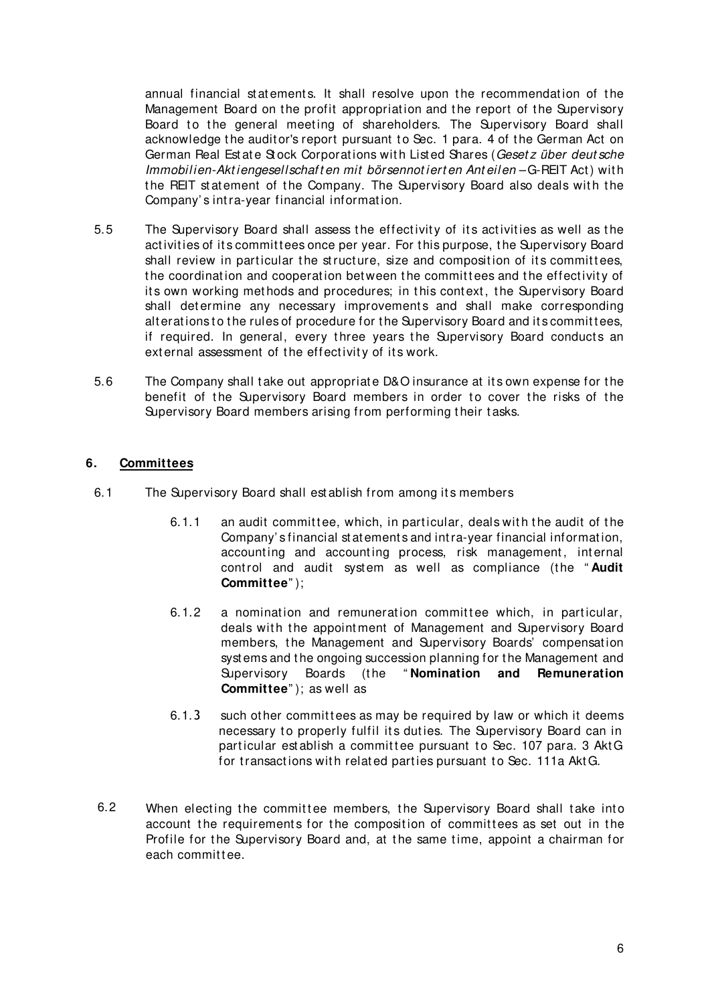annual financial statements. It shall resolve upon the recommendation of the Management Board on the profit appropriation and the report of the Supervisory Board to the general meeting of shareholders. The Supervisory Board shall acknowledge the auditor's report pursuant to Sec. 1 para. 4 of the German Act on German Real Estate Stock Corporations with Listed Shares (Gesetz über deutsche Immobilien-Aktiengesellschaften mit börsennotierten Anteilen-G-REIT Act) with the REIT statement of the Company. The Supervisory Board also deals with the Company' s int ra-year financial informat ion.

- 5.5 The Supervisory Board shall assess the effectivity of its activities as well as the activities of its committees once per year. For this purpose, the Supervisory Board shall review in particular the structure, size and composition of its committees, the coordination and cooperation between the committees and the effectivity of its own working methods and procedures; in this context, the Supervisory Board shall determine any necessary improvements and shall make corresponding alterations to the rules of procedure for the Supervisory Board and its committees, if required. In general, every three years the Supervisory Board conducts an external assessment of the effectivity of its work.
- 5.6 The Company shall t ake out appropriat e D&O insurance at it s own expense for t he benefit of the Supervisory Board members in order to cover the risks of the Supervisory Board members arising from performing their tasks.

#### **6. Committees**

- 6.1 The Supervisory Board shall est ablish from among its members
	- 6.1.1 an audit committee, which, in particular, deals with the audit of the Company' s financial st at ement s and int ra-year financial informat ion, accounting and accounting process, risk management, internal control and audit system as well as compliance (the "Audit **Committee**" );
	- 6.1.2 a nomination and remuneration committee which, in particular, deals with the appointment of Management and Supervisory Board members, the Management and Supervisory Boards' compensation syst ems and t he ongoing succession planning for t he Management and Supervisory Boards (the "Nomination and Remuneration **Committee**" ); as well as
	- 6.1.3 such other committees as may be required by law or which it deems necessary to properly fulfil its duties. The Supervisory Board can in particular est ablish a committee pursuant to Sec. 107 para. 3 Akt G for transactions with related parties pursuant to Sec. 111a AktG.
- 6.2 When electing the committee members, the Supervisory Board shall take into account the requirements for the composition of committees as set out in the Profile for the Supervisory Board and, at the same time, appoint a chairman for each committee.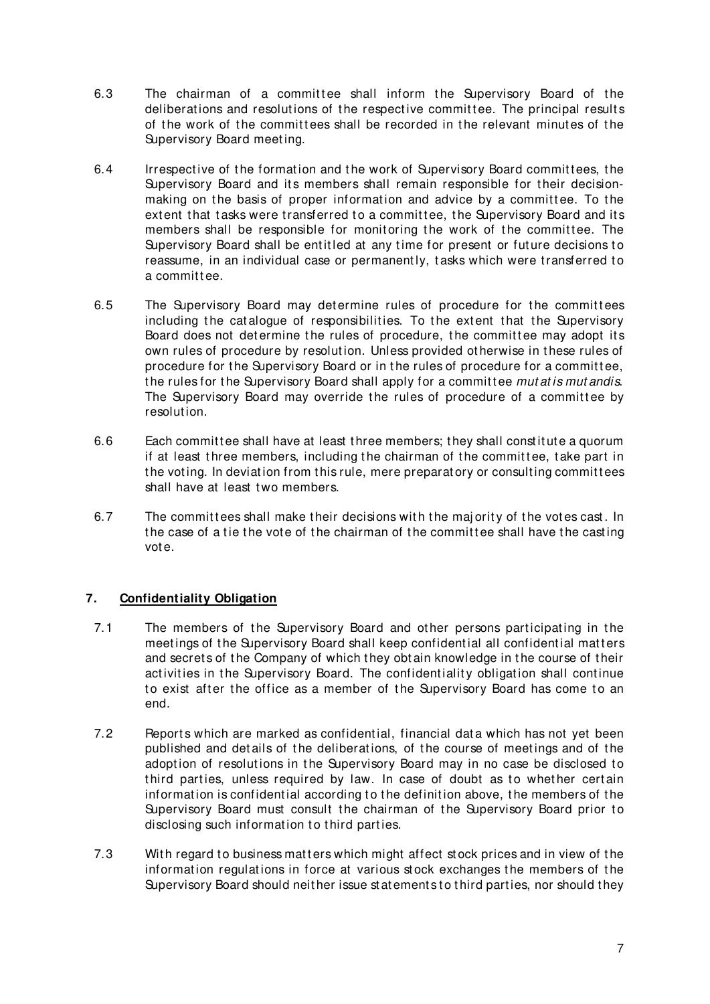- 6.3 The chairman of a committee shall inform the Supervisory Board of the deliberations and resolutions of the respective committee. The principal results of the work of the committees shall be recorded in the relevant minutes of the Supervisory Board meeting.
- 6.4 Irrespective of the formation and the work of Supervisory Board committees, the Supervisory Board and its members shall remain responsible for their decisionmaking on the basis of proper information and advice by a committee. To the extent that tasks were transferred to a committee, the Supervisory Board and its members shall be responsible for monitoring the work of the committee. The Supervisory Board shall be entitled at any time for present or future decisions to reassume, in an individual case or permanently, tasks which were transferred to a committee.
- 6.5 The Supervisory Board may determine rules of procedure for the committees including the catalogue of responsibilities. To the extent that the Supervisory Board does not determine the rules of procedure, the committee may adopt its own rules of procedure by resolution. Unless provided otherwise in these rules of procedure for the Supervisory Board or in the rules of procedure for a committee, the rules for the Supervisory Board shall apply for a committee *mutatis mutandis*. The Supervisory Board may override the rules of procedure of a committee by resolut ion.
- 6.6 Each committee shall have at least three members; they shall constitute a quorum if at least three members, including the chairman of the committee, take part in the voting. In deviation from this rule, mere preparatory or consulting committees shall have at least two members.
- 6.7 The committees shall make their decisions with the majority of the votes cast. In the case of a tie the vote of the chairman of the committee shall have the casting vot e.

## **7. Confidentiality Obligation**

- 7.1 The members of the Supervisory Board and other persons participating in the meetings of the Supervisory Board shall keep confidential all confidential matters and secrets of the Company of which they obtain knowledge in the course of their activities in the Supervisory Board. The confidentiality obligation shall continue to exist after the office as a member of the Supervisory Board has come to an end.
- 7.2 Reports which are marked as confidential, financial data which has not yet been published and details of the deliberations, of the course of meetings and of the adoption of resolutions in the Supervisory Board may in no case be disclosed to third parties, unless required by law. In case of doubt as to whether certain information is confidential according to the definition above, the members of the Supervisory Board must consult the chairman of the Supervisory Board prior to disclosing such information to third parties.
- 7.3 With regard to business matters which might affect stock prices and in view of the information regulations in force at various stock exchanges the members of the Supervisory Board should neither issue statements to third parties, nor should they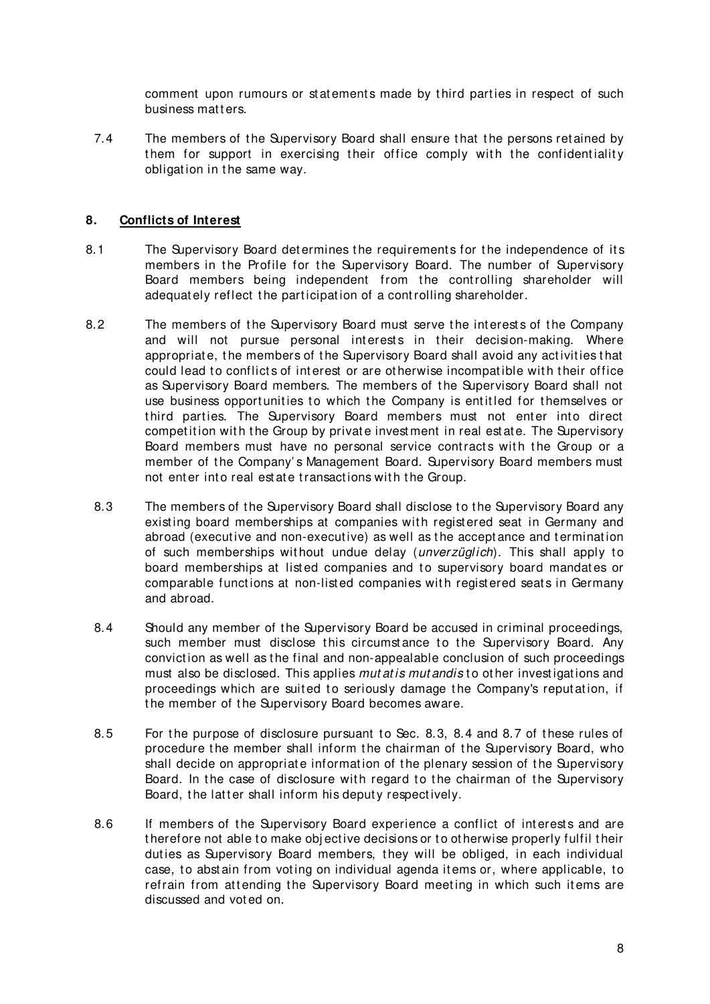comment upon rumours or statements made by third parties in respect of such business matters.

7.4 The members of the Supervisory Board shall ensure that the persons retained by them for support in exercising their office comply with the confidentiality obligation in the same way.

#### **8. Conflicts of Interest**

- 8.1 The Supervisory Board determines the requirements for the independence of its members in the Profile for the Supervisory Board. The number of Supervisory Board members being independent from the controlling shareholder will adequately reflect the participation of a controlling shareholder.
- <span id="page-7-2"></span><span id="page-7-1"></span><span id="page-7-0"></span>8.2 The members of the Supervisory Board must serve the interests of the Company and will not pursue personal interests in their decision-making. Where appropriate, the members of the Supervisory Board shall avoid any activities that could lead to conflicts of interest or are otherwise incompatible with their office as Supervisory Board members. The members of t he Supervisory Board shall not use business opportunities to which the Company is entitled for themselves or third parties. The Supervisory Board members must not enter into direct competition with the Group by private investment in real estate. The Supervisory Board members must have no personal service contracts with the Group or a member of the Company's Management Board. Supervisory Board members must not enter into real estate transactions with the Group.
	- 8.3 The members of the Supervisory Board shall disclose to the Supervisory Board any existing board memberships at companies with registered seat in Germany and abroad (executive and non-executive) as well as the acceptance and termination of such memberships without undue delay (*unverzüglich*). This shall apply to board memberships at listed companies and to supervisory board mandates or comparable functions at non-listed companies with registered seats in Germany and abroad.
	- 8.4 Should any member of the Supervisory Board be accused in criminal proceedings, such member must disclose this circumstance to the Supervisory Board. Any convict ion as well as t he final and non-appealable conclusion of such proceedings must also be disclosed. This applies mutatis mutandis to other investigations and proceedings which are suited to seriously damage the Company's reputation, if the member of the Supervisory Board becomes aware.
	- 8.5 For the purpose of disclosure pursuant to Sec. [8.3,](#page-7-0) [8.4](#page-7-1) and [8.7](#page-8-2) of these rules of procedure the member shall inform the chairman of the Supervisory Board, who shall decide on appropriate information of the plenary session of the Supervisory Board. In the case of disclosure with regard to the chairman of the Supervisory Board, the latter shall inform his deputy respectively.
	- 8.6 If members of the Supervisory Board experience a conflict of interests and are therefore not able to make objective decisions or to otherwise properly fulfil their duties as Supervisory Board members, they will be obliged, in each individual case, to abstain from voting on individual agenda items or, where applicable, to refrain from attending the Supervisory Board meeting in which such items are discussed and vot ed on.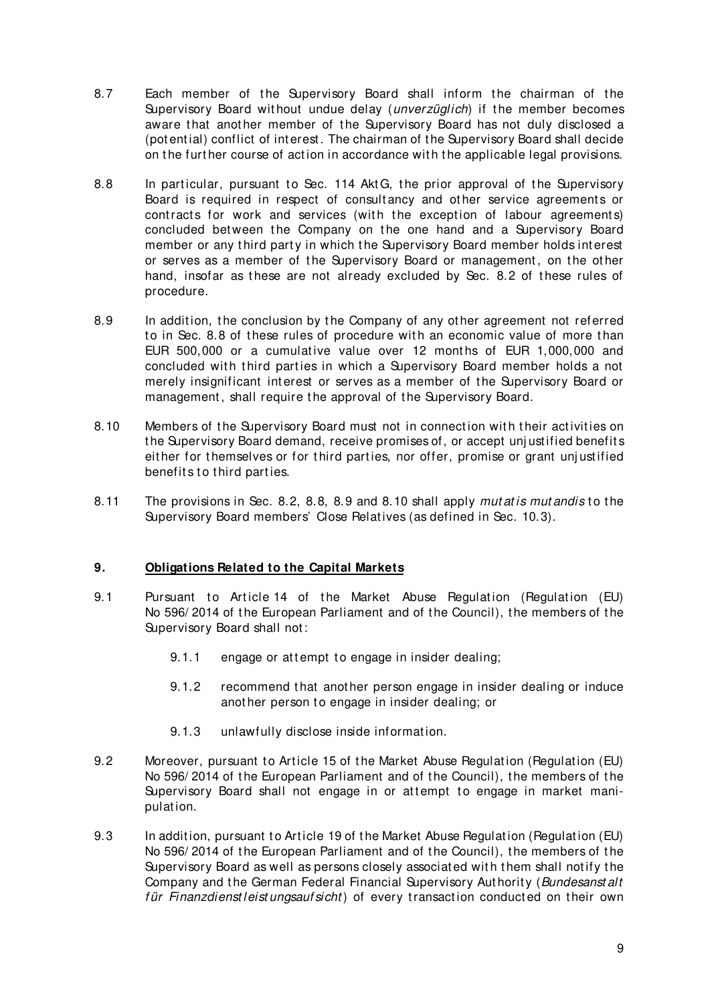- <span id="page-8-2"></span>8.7 Each member of the Supervisory Board shall inform the chairman of the Supervisory Board without undue delay (unverzüglich) if the member becomes aware that another member of the Supervisory Board has not duly disclosed a (pot ent ial) conflict of int erest . The chairman of t he Supervisory Board shall decide on the further course of action in accordance with the applicable legal provisions.
- <span id="page-8-0"></span>8.8 In particular, pursuant to Sec. 114 AktG, the prior approval of the Supervisory Board is required in respect of consultancy and other service agreements or contracts for work and services (with the exception of labour agreements) concluded between the Company on the one hand and a Supervisory Board member or any third party in which the Supervisory Board member holds interest or serves as a member of the Supervisory Board or management, on the other hand, insofar as these are not already excluded by Sec. 8.2 of these rules of procedure.
- <span id="page-8-1"></span>8.9 In addition, the conclusion by the Company of any other agreement not referred to in Sec. [8.8](#page-8-0) of these rules of procedure with an economic value of more than EUR 500,000 or a cumulative value over 12 months of EUR 1,000,000 and concluded with third parties in which a Supervisory Board member holds a not merely insignificant interest or serves as a member of the Supervisory Board or management, shall require the approval of the Supervisory Board.
- <span id="page-8-3"></span>8.10 Members of the Supervisory Board must not in connection with their activities on t he Supervisory Board demand, receive promises of, or accept unj ust ified benefit s either for themselves or for third parties, nor offer, promise or grant unjustified benefits to third parties.
- 8.11 The provisions in Sec. [8.2,](#page-7-2) [8.8,](#page-8-0) [8.9](#page-8-1) and [8.10](#page-8-3) shall apply mutatis mutandis to the Supervisory Board members' Close Relat ives (as defined in Sec. [10.3\)](#page-8-4).

### **9. Obligations Related to the Capital Markets**

- 9.1 Pursuant to Article 14 of the Market Abuse Regulation (Regulation (EU) No 596/2014 of the European Parliament and of the Council), the members of the Supervisory Board shall not:
	- 9.1.1 engage or attempt to engage in insider dealing;
	- 9.1.2 recommend that another person engage in insider dealing or induce another person to engage in insider dealing; or
	- 9.1.3 unlawfully disclose inside information.
- 9.2 Moreover, pursuant to Article 15 of the Market Abuse Regulation (Regulation (EU) No 596/2014 of the European Parliament and of the Council), the members of the Supervisory Board shall not engage in or attempt to engage in market manipulat ion.
- <span id="page-8-4"></span>9.3 In addition, pursuant to Article 19 of the Market Abuse Regulation (Regulation (EU) No 596/2014 of the European Parliament and of the Council), the members of the Supervisory Board as well as persons closely associated with them shall notify the Company and the German Federal Financial Supervisory Authority (Bundesanst alt für Finanzdienst leist ungsauf sicht) of every transaction conducted on their own